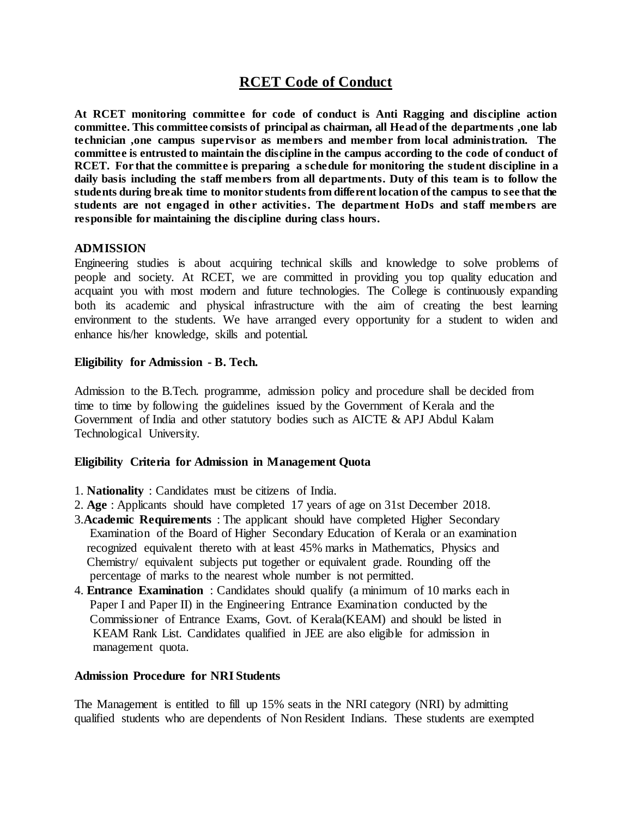# **RCET Code of Conduct**

**At RCET monitoring committee for code of conduct is Anti Ragging and discipline action committee. This committee consists of principal as chairman, all Head of the departments ,one lab technician ,one campus supervisor as members and member from local administration. The committee is entrusted to maintain the discipline in the campus according to the code of conduct of RCET. For that the committee is preparing a schedule for monitoring the student discipline in a daily basis including the staff members from all departments. Duty of this team is to follow the students during break time to monitor students from different location of the campus to see that the students are not engaged in other activities. The department HoDs and staff members are responsible for maintaining the discipline during class hours.**

## **ADMISSION**

Engineering studies is about acquiring technical skills and knowledge to solve problems of people and society. At RCET, we are committed in providing you top quality education and acquaint you with most modern and future technologies. The College is continuously expanding both its academic and physical infrastructure with the aim of creating the best learning environment to the students. We have arranged every opportunity for a student to widen and enhance his/her knowledge, skills and potential.

## **Eligibility for Admission - B. Tech.**

Admission to the B.Tech. programme, admission policy and procedure shall be decided from time to time by following the guidelines issued by the Government of Kerala and the Government of India and other statutory bodies such as AICTE & APJ Abdul Kalam Technological University.

## **Eligibility Criteria for Admission in Management Quota**

- 1. **Nationality** : Candidates must be citizens of India.
- 2. **Age** : Applicants should have completed 17 years of age on 31st December 2018.
- 3.**Academic Requirements** : The applicant should have completed Higher Secondary Examination of the Board of Higher Secondary Education of Kerala or an examination recognized equivalent thereto with at least 45% marks in Mathematics, Physics and Chemistry/ equivalent subjects put together or equivalent grade. Rounding off the percentage of marks to the nearest whole number is not permitted.
- 4. **Entrance Examination** : Candidates should qualify (a minimum of 10 marks each in Paper I and Paper II) in the Engineering Entrance Examination conducted by the Commissioner of Entrance Exams, Govt. of Kerala(KEAM) and should be listed in KEAM Rank List. Candidates qualified in JEE are also eligible for admission in management quota.

## **Admission Procedure for NRI Students**

The Management is entitled to fill up 15% seats in the NRI category (NRI) by admitting qualified students who are dependents of Non Resident Indians. These students are exempted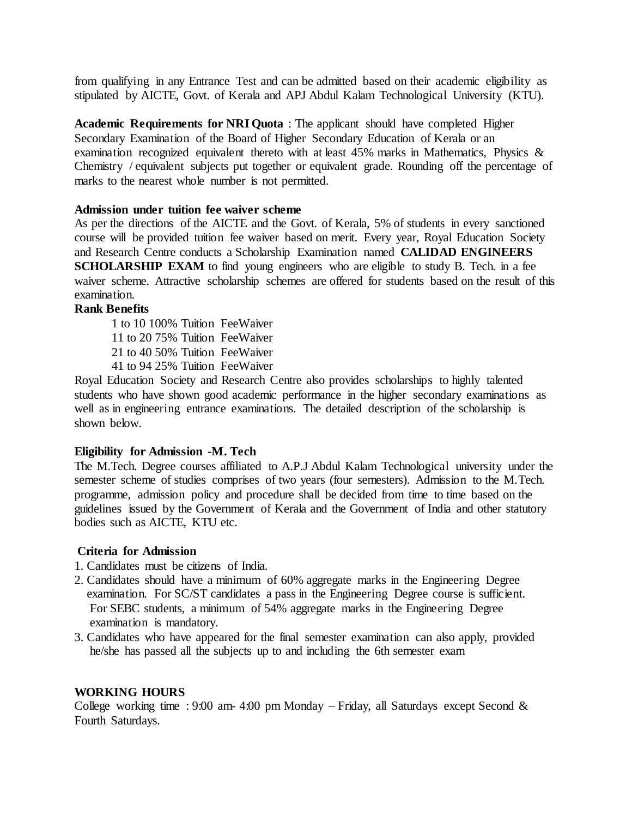from qualifying in any Entrance Test and can be admitted based on their academic eligibility as stipulated by AICTE, Govt. of Kerala and APJ Abdul Kalam Technological University (KTU).

**Academic Requirements for NRI Quota** : The applicant should have completed Higher Secondary Examination of the Board of Higher Secondary Education of Kerala or an examination recognized equivalent thereto with at least 45% marks in Mathematics, Physics & Chemistry / equivalent subjects put together or equivalent grade. Rounding off the percentage of marks to the nearest whole number is not permitted.

### **Admission under tuition fee waiver scheme**

As per the directions of the AICTE and the Govt. of Kerala, 5% of students in every sanctioned course will be provided tuition fee waiver based on merit. Every year, Royal Education Society and Research Centre conducts a Scholarship Examination named **CALIDAD ENGINEERS SCHOLARSHIP EXAM** to find young engineers who are eligible to study B. Tech. in a fee waiver scheme. Attractive scholarship schemes are offered for students based on the result of this examination.

## **Rank Benefits**

1 to 10 100% Tuition FeeWaiver 11 to 20 75% Tuition FeeWaiver 21 to 40 50% Tuition FeeWaiver 41 to 94 25% Tuition FeeWaiver

Royal Education Society and Research Centre also provides scholarships to highly talented students who have shown good academic performance in the higher secondary examinations as well as in engineering entrance examinations. The detailed description of the scholarship is shown below.

## **Eligibility for Admission -M. Tech**

The M.Tech. Degree courses affiliated to A.P.J Abdul Kalam Technological university under the semester scheme of studies comprises of two years (four semesters). Admission to the M.Tech. programme, admission policy and procedure shall be decided from time to time based on the guidelines issued by the Government of Kerala and the Government of India and other statutory bodies such as AICTE, KTU etc.

## **Criteria for Admission**

- 1. Candidates must be citizens of India.
- 2. Candidates should have a minimum of 60% aggregate marks in the Engineering Degree examination. For SC/ST candidates a pass in the Engineering Degree course is sufficient. For SEBC students, a minimum of 54% aggregate marks in the Engineering Degree examination is mandatory.
- 3. Candidates who have appeared for the final semester examination can also apply, provided he/she has passed all the subjects up to and including the 6th semester exam

## **WORKING HOURS**

College working time : 9:00 am- 4:00 pm Monday – Friday, all Saturdays except Second  $\&$ Fourth Saturdays.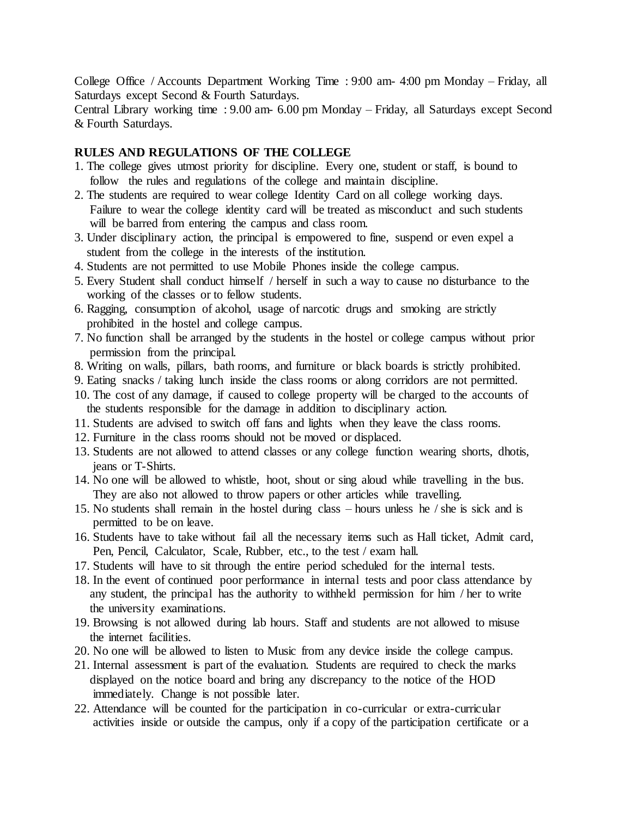College Office / Accounts Department Working Time : 9:00 am- 4:00 pm Monday – Friday, all Saturdays except Second & Fourth Saturdays.

Central Library working time : 9.00 am- 6.00 pm Monday – Friday, all Saturdays except Second & Fourth Saturdays.

## **RULES AND REGULATIONS OF THE COLLEGE**

- 1. The college gives utmost priority for discipline. Every one, student or staff, is bound to follow the rules and regulations of the college and maintain discipline.
- 2. The students are required to wear college Identity Card on all college working days. Failure to wear the college identity card will be treated as misconduct and such students will be barred from entering the campus and class room.
- 3. Under disciplinary action, the principal is empowered to fine, suspend or even expel a student from the college in the interests of the institution.
- 4. Students are not permitted to use Mobile Phones inside the college campus.
- 5. Every Student shall conduct himself / herself in such a way to cause no disturbance to the working of the classes or to fellow students.
- 6. Ragging, consumption of alcohol, usage of narcotic drugs and smoking are strictly prohibited in the hostel and college campus.
- 7. No function shall be arranged by the students in the hostel or college campus without prior permission from the principal.
- 8. Writing on walls, pillars, bath rooms, and furniture or black boards is strictly prohibited.
- 9. Eating snacks / taking lunch inside the class rooms or along corridors are not permitted.
- 10. The cost of any damage, if caused to college property will be charged to the accounts of the students responsible for the damage in addition to disciplinary action.
- 11. Students are advised to switch off fans and lights when they leave the class rooms.
- 12. Furniture in the class rooms should not be moved or displaced.
- 13. Students are not allowed to attend classes or any college function wearing shorts, dhotis, jeans or T-Shirts.
- 14. No one will be allowed to whistle, hoot, shout or sing aloud while travelling in the bus. They are also not allowed to throw papers or other articles while travelling.
- 15. No students shall remain in the hostel during class hours unless he / she is sick and is permitted to be on leave.
- 16. Students have to take without fail all the necessary items such as Hall ticket, Admit card, Pen, Pencil, Calculator, Scale, Rubber, etc., to the test / exam hall.
- 17. Students will have to sit through the entire period scheduled for the internal tests.
- 18. In the event of continued poor performance in internal tests and poor class attendance by any student, the principal has the authority to withheld permission for him / her to write the university examinations.
- 19. Browsing is not allowed during lab hours. Staff and students are not allowed to misuse the internet facilities.
- 20. No one will be allowed to listen to Music from any device inside the college campus.
- 21. Internal assessment is part of the evaluation. Students are required to check the marks displayed on the notice board and bring any discrepancy to the notice of the HOD immediately. Change is not possible later.
- 22. Attendance will be counted for the participation in co-curricular or extra-curricular activities inside or outside the campus, only if a copy of the participation certificate or a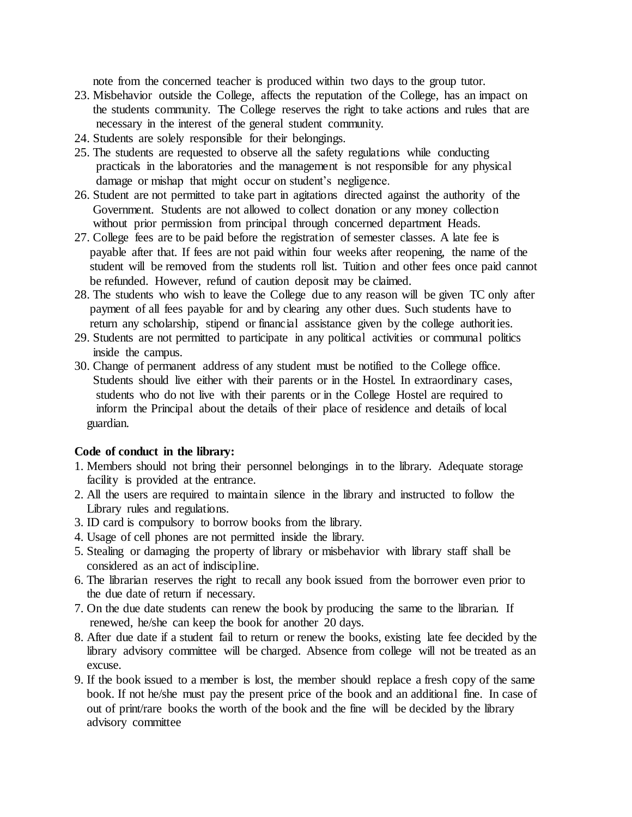note from the concerned teacher is produced within two days to the group tutor.

- 23. Misbehavior outside the College, affects the reputation of the College, has an impact on the students community. The College reserves the right to take actions and rules that are necessary in the interest of the general student community.
- 24. Students are solely responsible for their belongings.
- 25. The students are requested to observe all the safety regulations while conducting practicals in the laboratories and the management is not responsible for any physical damage or mishap that might occur on student's negligence.
- 26. Student are not permitted to take part in agitations directed against the authority of the Government. Students are not allowed to collect donation or any money collection without prior permission from principal through concerned department Heads.
- 27. College fees are to be paid before the registration of semester classes. A late fee is payable after that. If fees are not paid within four weeks after reopening, the name of the student will be removed from the students roll list. Tuition and other fees once paid cannot be refunded. However, refund of caution deposit may be claimed.
- 28. The students who wish to leave the College due to any reason will be given TC only after payment of all fees payable for and by clearing any other dues. Such students have to return any scholarship, stipend or financial assistance given by the college authorities.
- 29. Students are not permitted to participate in any political activities or communal politics inside the campus.
- 30. Change of permanent address of any student must be notified to the College office. Students should live either with their parents or in the Hostel. In extraordinary cases, students who do not live with their parents or in the College Hostel are required to inform the Principal about the details of their place of residence and details of local guardian.

#### **Code of conduct in the library:**

- 1. Members should not bring their personnel belongings in to the library. Adequate storage facility is provided at the entrance.
- 2. All the users are required to maintain silence in the library and instructed to follow the Library rules and regulations.
- 3. ID card is compulsory to borrow books from the library.
- 4. Usage of cell phones are not permitted inside the library.
- 5. Stealing or damaging the property of library or misbehavior with library staff shall be considered as an act of indiscipline.
- 6. The librarian reserves the right to recall any book issued from the borrower even prior to the due date of return if necessary.
- 7. On the due date students can renew the book by producing the same to the librarian. If renewed, he/she can keep the book for another 20 days.
- 8. After due date if a student fail to return or renew the books, existing late fee decided by the library advisory committee will be charged. Absence from college will not be treated as an excuse.
- 9. If the book issued to a member is lost, the member should replace a fresh copy of the same book. If not he/she must pay the present price of the book and an additional fine. In case of out of print/rare books the worth of the book and the fine will be decided by the library advisory committee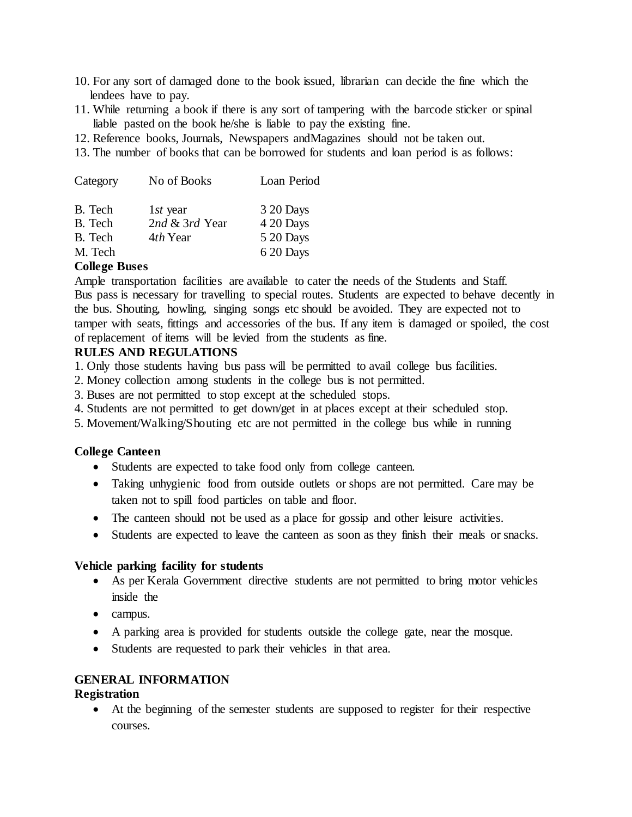- 10. For any sort of damaged done to the book issued, librarian can decide the fine which the lendees have to pay.
- 11. While returning a book if there is any sort of tampering with the barcode sticker or spinal liable pasted on the book he/she is liable to pay the existing fine.
- 12. Reference books, Journals, Newspapers andMagazines should not be taken out.
- 13. The number of books that can be borrowed for students and loan period is as follows:

| Category | No of Books    | Loan Period |
|----------|----------------|-------------|
| B. Tech  | $1st$ year     | 3 20 Days   |
| B. Tech  | 2nd & 3rd Year | 4 20 Days   |
| B. Tech  | 4th Year       | 5 20 Days   |
| M. Tech  |                | 6 20 Days   |

## **College Buses**

Ample transportation facilities are available to cater the needs of the Students and Staff. Bus pass is necessary for travelling to special routes. Students are expected to behave decently in the bus. Shouting, howling, singing songs etc should be avoided. They are expected not to tamper with seats, fittings and accessories of the bus. If any item is damaged or spoiled, the cost of replacement of items will be levied from the students as fine.

## **RULES AND REGULATIONS**

1. Only those students having bus pass will be permitted to avail college bus facilities.

- 2. Money collection among students in the college bus is not permitted.
- 3. Buses are not permitted to stop except at the scheduled stops.
- 4. Students are not permitted to get down/get in at places except at their scheduled stop.
- 5. Movement/Walking/Shouting etc are not permitted in the college bus while in running

#### **College Canteen**

- Students are expected to take food only from college canteen.
- Taking unhygienic food from outside outlets or shops are not permitted. Care may be taken not to spill food particles on table and floor.
- The canteen should not be used as a place for gossip and other leisure activities.
- Students are expected to leave the canteen as soon as they finish their meals or snacks.

#### **Vehicle parking facility for students**

- As per Kerala Government directive students are not permitted to bring motor vehicles inside the
- campus.
- A parking area is provided for students outside the college gate, near the mosque.
- Students are requested to park their vehicles in that area.

## **GENERAL INFORMATION**

#### **Registration**

 At the beginning of the semester students are supposed to register for their respective courses.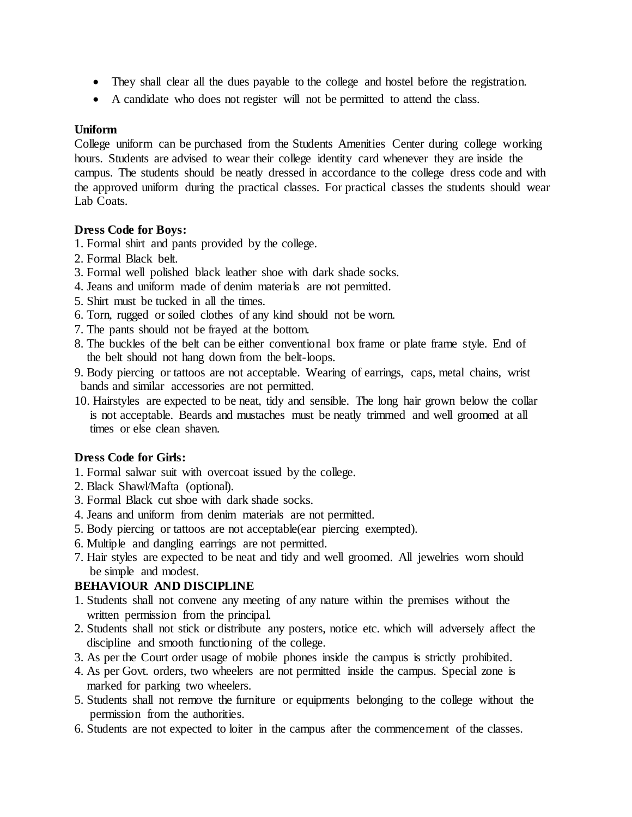- They shall clear all the dues payable to the college and hostel before the registration.
- A candidate who does not register will not be permitted to attend the class.

## **Uniform**

College uniform can be purchased from the Students Amenities Center during college working hours. Students are advised to wear their college identity card whenever they are inside the campus. The students should be neatly dressed in accordance to the college dress code and with the approved uniform during the practical classes. For practical classes the students should wear Lab Coats.

## **Dress Code for Boys:**

1. Formal shirt and pants provided by the college.

- 2. Formal Black belt.
- 3. Formal well polished black leather shoe with dark shade socks.
- 4. Jeans and uniform made of denim materials are not permitted.
- 5. Shirt must be tucked in all the times.
- 6. Torn, rugged or soiled clothes of any kind should not be worn.
- 7. The pants should not be frayed at the bottom.
- 8. The buckles of the belt can be either conventional box frame or plate frame style. End of the belt should not hang down from the belt-loops.
- 9. Body piercing or tattoos are not acceptable. Wearing of earrings, caps, metal chains, wrist bands and similar accessories are not permitted.
- 10. Hairstyles are expected to be neat, tidy and sensible. The long hair grown below the collar is not acceptable. Beards and mustaches must be neatly trimmed and well groomed at all times or else clean shaven.

## **Dress Code for Girls:**

- 1. Formal salwar suit with overcoat issued by the college.
- 2. Black Shawl/Mafta (optional).
- 3. Formal Black cut shoe with dark shade socks.
- 4. Jeans and uniform from denim materials are not permitted.
- 5. Body piercing or tattoos are not acceptable(ear piercing exempted).
- 6. Multiple and dangling earrings are not permitted.
- 7. Hair styles are expected to be neat and tidy and well groomed. All jewelries worn should be simple and modest.

## **BEHAVIOUR AND DISCIPLINE**

- 1. Students shall not convene any meeting of any nature within the premises without the written permission from the principal.
- 2. Students shall not stick or distribute any posters, notice etc. which will adversely affect the discipline and smooth functioning of the college.
- 3. As per the Court order usage of mobile phones inside the campus is strictly prohibited.
- 4. As per Govt. orders, two wheelers are not permitted inside the campus. Special zone is marked for parking two wheelers.
- 5. Students shall not remove the furniture or equipments belonging to the college without the permission from the authorities.
- 6. Students are not expected to loiter in the campus after the commencement of the classes.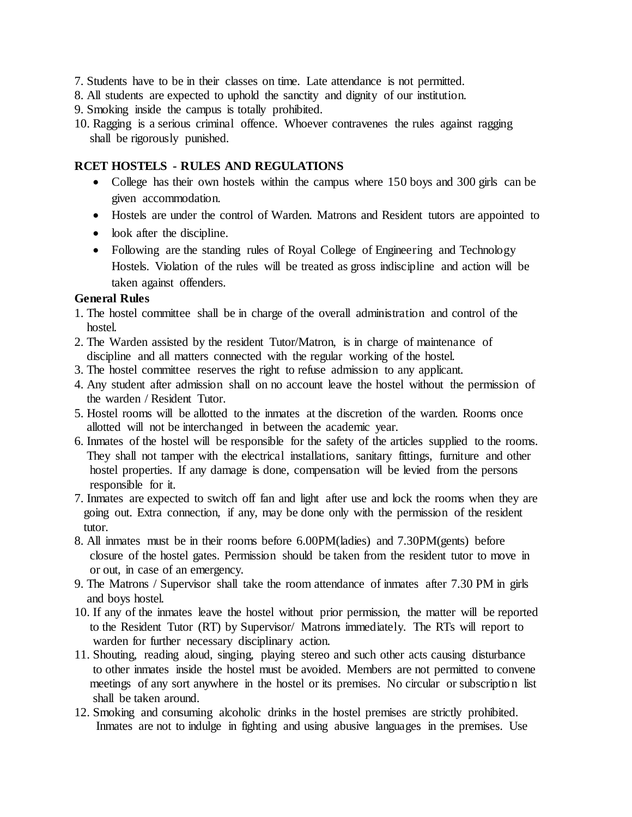- 7. Students have to be in their classes on time. Late attendance is not permitted.
- 8. All students are expected to uphold the sanctity and dignity of our institution.

9. Smoking inside the campus is totally prohibited.

10. Ragging is a serious criminal offence. Whoever contravenes the rules against ragging shall be rigorously punished.

## **RCET HOSTELS - RULES AND REGULATIONS**

- College has their own hostels within the campus where 150 boys and 300 girls can be given accommodation.
- Hostels are under the control of Warden. Matrons and Resident tutors are appointed to
- look after the discipline.
- Following are the standing rules of Royal College of Engineering and Technology Hostels. Violation of the rules will be treated as gross indiscipline and action will be taken against offenders.

## **General Rules**

- 1. The hostel committee shall be in charge of the overall administration and control of the hostel.
- 2. The Warden assisted by the resident Tutor/Matron, is in charge of maintenance of discipline and all matters connected with the regular working of the hostel.
- 3. The hostel committee reserves the right to refuse admission to any applicant.
- 4. Any student after admission shall on no account leave the hostel without the permission of the warden / Resident Tutor.
- 5. Hostel rooms will be allotted to the inmates at the discretion of the warden. Rooms once allotted will not be interchanged in between the academic year.
- 6. Inmates of the hostel will be responsible for the safety of the articles supplied to the rooms. They shall not tamper with the electrical installations, sanitary fittings, furniture and other hostel properties. If any damage is done, compensation will be levied from the persons responsible for it.
- 7. Inmates are expected to switch off fan and light after use and lock the rooms when they are going out. Extra connection, if any, may be done only with the permission of the resident tutor.
- 8. All inmates must be in their rooms before 6.00PM(ladies) and 7.30PM(gents) before closure of the hostel gates. Permission should be taken from the resident tutor to move in or out, in case of an emergency.
- 9. The Matrons / Supervisor shall take the room attendance of inmates after 7.30 PM in girls and boys hostel.
- 10. If any of the inmates leave the hostel without prior permission, the matter will be reported to the Resident Tutor (RT) by Supervisor/ Matrons immediately. The RTs will report to warden for further necessary disciplinary action.
- 11. Shouting, reading aloud, singing, playing stereo and such other acts causing disturbance to other inmates inside the hostel must be avoided. Members are not permitted to convene meetings of any sort anywhere in the hostel or its premises. No circular or subscriptio n list shall be taken around.
- 12. Smoking and consuming alcoholic drinks in the hostel premises are strictly prohibited. Inmates are not to indulge in fighting and using abusive languages in the premises. Use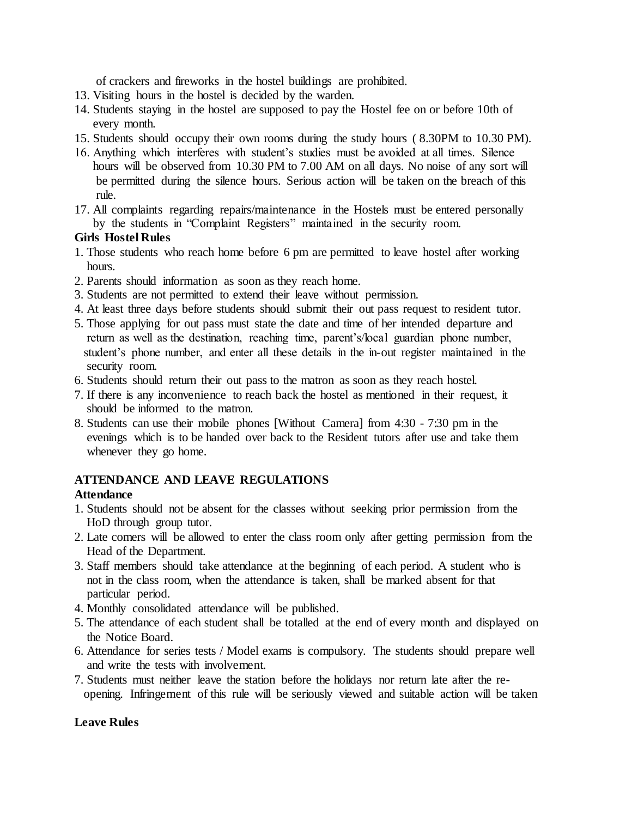of crackers and fireworks in the hostel buildings are prohibited.

- 13. Visiting hours in the hostel is decided by the warden.
- 14. Students staying in the hostel are supposed to pay the Hostel fee on or before 10th of every month.
- 15. Students should occupy their own rooms during the study hours ( 8.30PM to 10.30 PM).
- 16. Anything which interferes with student's studies must be avoided at all times. Silence hours will be observed from 10.30 PM to 7.00 AM on all days. No noise of any sort will be permitted during the silence hours. Serious action will be taken on the breach of this rule.
- 17. All complaints regarding repairs/maintenance in the Hostels must be entered personally by the students in "Complaint Registers" maintained in the security room.

## **Girls Hostel Rules**

- 1. Those students who reach home before 6 pm are permitted to leave hostel after working hours.
- 2. Parents should information as soon as they reach home.
- 3. Students are not permitted to extend their leave without permission.
- 4. At least three days before students should submit their out pass request to resident tutor.
- 5. Those applying for out pass must state the date and time of her intended departure and return as well as the destination, reaching time, parent's/local guardian phone number, student's phone number, and enter all these details in the in-out register maintained in the security room.
- 6. Students should return their out pass to the matron as soon as they reach hostel.
- 7. If there is any inconvenience to reach back the hostel as mentioned in their request, it should be informed to the matron.
- 8. Students can use their mobile phones [Without Camera] from 4:30 7:30 pm in the evenings which is to be handed over back to the Resident tutors after use and take them whenever they go home.

## **ATTENDANCE AND LEAVE REGULATIONS**

## **Attendance**

- 1. Students should not be absent for the classes without seeking prior permission from the HoD through group tutor.
- 2. Late comers will be allowed to enter the class room only after getting permission from the Head of the Department.
- 3. Staff members should take attendance at the beginning of each period. A student who is not in the class room, when the attendance is taken, shall be marked absent for that particular period.
- 4. Monthly consolidated attendance will be published.
- 5. The attendance of each student shall be totalled at the end of every month and displayed on the Notice Board.
- 6. Attendance for series tests / Model exams is compulsory. The students should prepare well and write the tests with involvement.
- 7. Students must neither leave the station before the holidays nor return late after the re opening. Infringement of this rule will be seriously viewed and suitable action will be taken

## **Leave Rules**